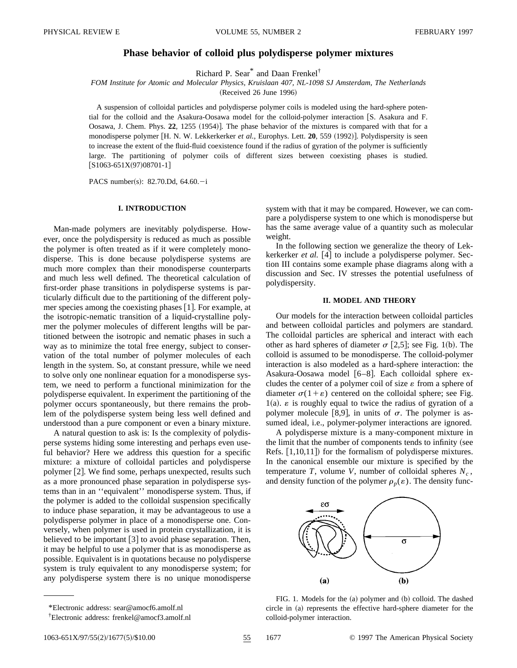# **Phase behavior of colloid plus polydisperse polymer mixtures**

Richard P. Sear\* and Daan Frenkel†

*FOM Institute for Atomic and Molecular Physics, Kruislaan 407, NL-1098 SJ Amsterdam, The Netherlands*

(Received 26 June 1996)

A suspension of colloidal particles and polydisperse polymer coils is modeled using the hard-sphere potential for the colloid and the Asakura-Oosawa model for the colloid-polymer interaction  $[S.$  Asakura and F. Oosawa, J. Chem. Phys. 22, 1255 (1954). The phase behavior of the mixtures is compared with that for a monodisperse polymer [H. N. W. Lekkerkerker *et al.*, Europhys. Lett. **20**, 559 (1992)]. Polydispersity is seen to increase the extent of the fluid-fluid coexistence found if the radius of gyration of the polymer is sufficiently large. The partitioning of polymer coils of different sizes between coexisting phases is studied.  $[S1063-651X(97)08701-1]$ 

PACS number(s): 82.70.Dd, 64.60. $-i$ 

## **I. INTRODUCTION**

Man-made polymers are inevitably polydisperse. However, once the polydispersity is reduced as much as possible the polymer is often treated as if it were completely monodisperse. This is done because polydisperse systems are much more complex than their monodisperse counterparts and much less well defined. The theoretical calculation of first-order phase transitions in polydisperse systems is particularly difficult due to the partitioning of the different polymer species among the coexisting phases  $[1]$ . For example, at the isotropic-nematic transition of a liquid-crystalline polymer the polymer molecules of different lengths will be partitioned between the isotropic and nematic phases in such a way as to minimize the total free energy, subject to conservation of the total number of polymer molecules of each length in the system. So, at constant pressure, while we need to solve only one nonlinear equation for a monodisperse system, we need to perform a functional minimization for the polydisperse equivalent. In experiment the partitioning of the polymer occurs spontaneously, but there remains the problem of the polydisperse system being less well defined and understood than a pure component or even a binary mixture.

A natural question to ask is: Is the complexity of polydisperse systems hiding some interesting and perhaps even useful behavior? Here we address this question for a specific mixture: a mixture of colloidal particles and polydisperse polymer  $[2]$ . We find some, perhaps unexpected, results such as a more pronounced phase separation in polydisperse systems than in an ''equivalent'' monodisperse system. Thus, if the polymer is added to the colloidal suspension specifically to induce phase separation, it may be advantageous to use a polydisperse polymer in place of a monodisperse one. Conversely, when polymer is used in protein crystallization, it is believed to be important  $\lceil 3 \rceil$  to avoid phase separation. Then, it may be helpful to use a polymer that is as monodisperse as possible. Equivalent is in quotations because no polydisperse system is truly equivalent to any monodisperse system; for any polydisperse system there is no unique monodisperse

system with that it may be compared. However, we can compare a polydisperse system to one which is monodisperse but has the same average value of a quantity such as molecular weight.

In the following section we generalize the theory of Lekkerkerker *et al.* [4] to include a polydisperse polymer. Section III contains some example phase diagrams along with a discussion and Sec. IV stresses the potential usefulness of polydispersity.

### **II. MODEL AND THEORY**

Our models for the interaction between colloidal particles and between colloidal particles and polymers are standard. The colloidal particles are spherical and interact with each other as hard spheres of diameter  $\sigma$  [2,5]; see Fig. 1(b). The colloid is assumed to be monodisperse. The colloid-polymer interaction is also modeled as a hard-sphere interaction: the Asakura-Oosawa model  $[6-8]$ . Each colloidal sphere excludes the center of a polymer coil of size  $\varepsilon$  from a sphere of diameter  $\sigma(1+\varepsilon)$  centered on the colloidal sphere; see Fig.  $1(a)$ .  $\varepsilon$  is roughly equal to twice the radius of gyration of a polymer molecule [8,9], in units of  $\sigma$ . The polymer is assumed ideal, i.e., polymer-polymer interactions are ignored.

A polydisperse mixture is a many-component mixture in the limit that the number of components tends to infinity (see Refs.  $[1,10,11]$  for the formalism of polydisperse mixtures. In the canonical ensemble our mixture is specified by the temperature *T*, volume *V*, number of colloidal spheres  $N_c$ , and density function of the polymer  $\rho_p(\varepsilon)$ . The density func-



FIG. 1. Models for the (a) polymer and (b) colloid. The dashed circle in (a) represents the effective hard-sphere diameter for the colloid-polymer interaction.

<sup>\*</sup>Electronic address: sear@amocf6.amolf.nl

<sup>†</sup> Electronic address: frenkel@amocf3.amolf.nl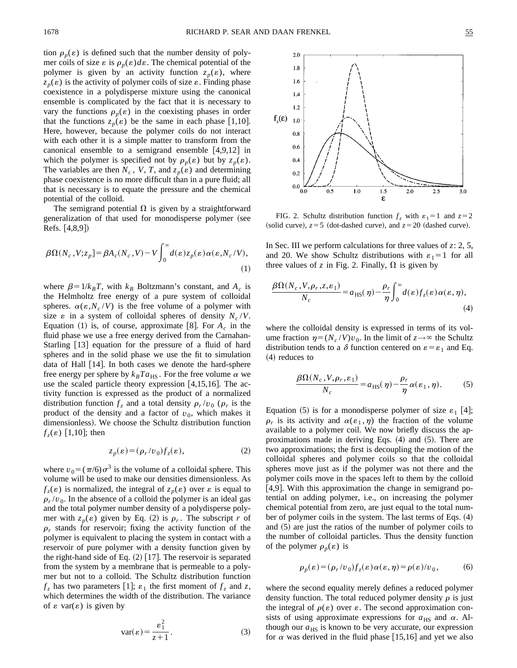tion  $\rho_n(\varepsilon)$  is defined such that the number density of polymer coils of size  $\varepsilon$  is  $\rho_p(\varepsilon) d\varepsilon$ . The chemical potential of the polymer is given by an activity function  $z_p(\varepsilon)$ , where  $z_p(\varepsilon)$  is the activity of polymer coils of size  $\varepsilon$ . Finding phase coexistence in a polydisperse mixture using the canonical ensemble is complicated by the fact that it is necessary to vary the functions  $\rho_p(\varepsilon)$  in the coexisting phases in order that the functions  $z_n(\varepsilon)$  be the same in each phase [1,10]. Here, however, because the polymer coils do not interact with each other it is a simple matter to transform from the canonical ensemble to a semigrand ensemble  $[4,9,12]$  in which the polymer is specified not by  $\rho_p(\varepsilon)$  but by  $z_p(\varepsilon)$ . The variables are then  $N_c$ ,  $V$ ,  $T$ , and  $z_p(\varepsilon)$  and determining phase coexistence is no more difficult than in a pure fluid; all that is necessary is to equate the pressure and the chemical potential of the colloid.

The semigrand potential  $\Omega$  is given by a straightforward generalization of that used for monodisperse polymer (see Refs.  $[4,8,9]$ 

$$
\beta\Omega(N_c, V; z_p] = \beta A_c(N_c, V) - V \int_0^\infty d(\varepsilon) z_p(\varepsilon) \alpha(\varepsilon, N_c/V),
$$
\n(1)

where  $\beta = 1/k_B T$ , with  $k_B$  Boltzmann's constant, and  $A_c$  is the Helmholtz free energy of a pure system of colloidal spheres.  $\alpha(\varepsilon, N_c/V)$  is the free volume of a polymer with size  $\varepsilon$  in a system of colloidal spheres of density  $N_c/V$ . Equation  $(1)$  is, of course, approximate [8]. For  $A_c$  in the fluid phase we use a free energy derived from the Carnahan-Starling  $|13|$  equation for the pressure of a fluid of hard spheres and in the solid phase we use the fit to simulation data of Hall  $|14|$ . In both cases we denote the hard-sphere free energy per sphere by  $k_B T a_{\text{HS}}$ . For the free volume  $\alpha$  we use the scaled particle theory expression  $[4,15,16]$ . The activity function is expressed as the product of a normalized distribution function  $f_z$  and a total density  $\rho_r/v_0$  ( $\rho_r$  is the product of the density and a factor of  $v_0$ , which makes it dimensionless). We choose the Schultz distribution function  $f_\tau(\varepsilon)$  [1,10]; then

$$
z_p(\varepsilon) = (\rho_r/v_0) f_z(\varepsilon), \tag{2}
$$

where  $v_0 = (\pi/6)\sigma^3$  is the volume of a colloidal sphere. This volume will be used to make our densities dimensionless. As  $f_z(\varepsilon)$  is normalized, the integral of  $z_p(\varepsilon)$  over  $\varepsilon$  is equal to  $\rho_r/v_0$ . In the absence of a colloid the polymer is an ideal gas and the total polymer number density of a polydisperse polymer with  $z_n(\varepsilon)$  given by Eq. (2) is  $\rho_r$ . The subscript *r* of  $\rho_r$  stands for reservoir; fixing the activity function of the polymer is equivalent to placing the system in contact with a reservoir of pure polymer with a density function given by the right-hand side of Eq.  $(2)$  [17]. The reservoir is separated from the system by a membrane that is permeable to a polymer but not to a colloid. The Schultz distribution function  $f_z$  has two parameters [1];  $\varepsilon_1$  the first moment of  $f_z$  and  $z$ , which determines the width of the distribution. The variance of  $\varepsilon$  var( $\varepsilon$ ) is given by

$$
var(\varepsilon) = \frac{\varepsilon_1^2}{z+1}.
$$
 (3)



FIG. 2. Schultz distribution function  $f_z$  with  $\varepsilon_1 = 1$  and  $z = 2$ (solid curve),  $z = 5$  (dot-dashed curve), and  $z = 20$  (dashed curve).

In Sec. III we perform calculations for three values of *z*: 2, 5, and 20. We show Schultz distributions with  $\varepsilon_1=1$  for all three values of *z* in Fig. 2. Finally,  $\Omega$  is given by

$$
\frac{\beta\Omega(N_c, V, \rho_r, z, \varepsilon_1)}{N_c} = a_{\text{HS}}(\eta) - \frac{\rho_r}{\eta} \int_0^\infty d(\varepsilon) f_z(\varepsilon) \alpha(\varepsilon, \eta),\tag{4}
$$

where the colloidal density is expressed in terms of its volume fraction  $\eta = (N_c / V) v_0$ . In the limit of  $z \rightarrow \infty$  the Schultz distribution tends to a  $\delta$  function centered on  $\varepsilon = \varepsilon_1$  and Eq.  $(4)$  reduces to

$$
\frac{\beta\Omega(N_c, V, \rho_r, \varepsilon_1)}{N_c} = a_{\text{HS}}(\eta) - \frac{\rho_r}{\eta}\alpha(\varepsilon_1, \eta). \tag{5}
$$

Equation (5) is for a monodisperse polymer of size  $\varepsilon_1$  [4];  $\rho_r$  is its activity and  $\alpha(\varepsilon_1, \eta)$  the fraction of the volume available to a polymer coil. We now briefly discuss the approximations made in deriving Eqs.  $(4)$  and  $(5)$ . There are two approximations; the first is decoupling the motion of the colloidal spheres and polymer coils so that the colloidal spheres move just as if the polymer was not there and the polymer coils move in the spaces left to them by the colloid  $[4,9]$ . With this approximation the change in semigrand potential on adding polymer, i.e., on increasing the polymer chemical potential from zero, are just equal to the total number of polymer coils in the system. The last terms of Eqs.  $(4)$ and  $(5)$  are just the ratios of the number of polymer coils to the number of colloidal particles. Thus the density function of the polymer  $\rho_p(\varepsilon)$  is

$$
\rho_p(\varepsilon) = (\rho_r/v_0) f_z(\varepsilon) \alpha(\varepsilon, \eta) = \rho(\varepsilon)/v_0, \tag{6}
$$

where the second equality merely defines a reduced polymer density function. The total reduced polymer density  $\rho$  is just the integral of  $\rho(\varepsilon)$  over  $\varepsilon$ . The second approximation consists of using approximate expressions for  $a_{\text{HS}}$  and  $\alpha$ . Although our  $a_{\text{HS}}$  is known to be very accurate, our expression for  $\alpha$  was derived in the fluid phase [15,16] and yet we also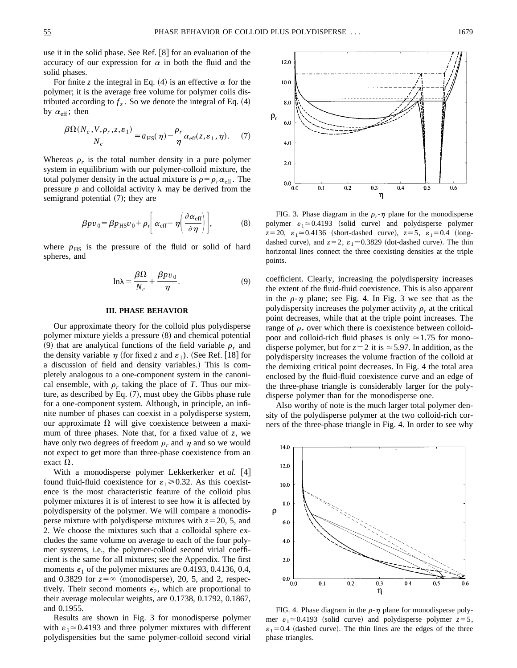12.0

 $10.0$ 

 $8.0$ 

points.

use it in the solid phase. See Ref.  $\vert 8 \vert$  for an evaluation of the accuracy of our expression for  $\alpha$  in both the fluid and the solid phases.

For finite *z* the integral in Eq. (4) is an effective  $\alpha$  for the polymer; it is the average free volume for polymer coils distributed according to  $f_z$ . So we denote the integral of Eq.  $(4)$ by  $\alpha_{\text{eff}}$ ; then

$$
\frac{\beta\Omega(N_c, V, \rho_r, z, \varepsilon_1)}{N_c} = a_{\text{HS}}(\eta) - \frac{\rho_r}{\eta} \alpha_{\text{eff}}(z, \varepsilon_1, \eta). \tag{7}
$$

Whereas  $\rho_r$  is the total number density in a pure polymer system in equilibrium with our polymer-colloid mixture, the total polymer density in the actual mixture is  $\rho = \rho_r \alpha_{\text{eff}}$ . The pressure  $p$  and colloidal activity  $\lambda$  may be derived from the semigrand potential  $(7)$ ; they are

$$
\beta p v_0 = \beta p_{\rm HS} v_0 + \rho_r \left[ \alpha_{\rm eff} - \eta \left( \frac{\partial \alpha_{\rm eff}}{\partial \eta} \right) \right],\tag{8}
$$

where  $p_{\text{HS}}$  is the pressure of the fluid or solid of hard spheres, and

$$
\ln \lambda = \frac{\beta \Omega}{N_c} + \frac{\beta p v_0}{\eta}.
$$
 (9)

#### **III. PHASE BEHAVIOR**

Our approximate theory for the colloid plus polydisperse polymer mixture yields a pressure  $(8)$  and chemical potential (9) that are analytical functions of the field variable  $\rho_r$  and the density variable  $\eta$  (for fixed *z* and  $\varepsilon_1$ ). (See Ref. [18] for a discussion of field and density variables.) This is completely analogous to a one-component system in the canonical ensemble, with  $\rho_r$  taking the place of *T*. Thus our mixture, as described by Eq.  $(7)$ , must obey the Gibbs phase rule for a one-component system. Although, in principle, an infinite number of phases can coexist in a polydisperse system, our approximate  $\Omega$  will give coexistence between a maximum of three phases. Note that, for a fixed value of *z*, we have only two degrees of freedom  $\rho_r$  and  $\eta$  and so we would not expect to get more than three-phase coexistence from an exact  $\Omega$ .

With a monodisperse polymer Lekkerkerker et al. [4] found fluid-fluid coexistence for  $\varepsilon_1 \ge 0.32$ . As this coexistence is the most characteristic feature of the colloid plus polymer mixtures it is of interest to see how it is affected by polydispersity of the polymer. We will compare a monodisperse mixture with polydisperse mixtures with  $z=20, 5$ , and 2. We choose the mixtures such that a colloidal sphere excludes the same volume on average to each of the four polymer systems, i.e., the polymer-colloid second virial coefficient is the same for all mixtures; see the Appendix. The first moments  $\epsilon_1$  of the polymer mixtures are 0.4193, 0.4136, 0.4, and 0.3829 for  $z = \infty$  (monodisperse), 20, 5, and 2, respectively. Their second moments  $\epsilon_2$ , which are proportional to their average molecular weights, are 0.1738, 0.1792, 0.1867, and 0.1955.

Results are shown in Fig. 3 for monodisperse polymer with  $\varepsilon_1 \approx 0.4193$  and three polymer mixtures with different polydispersities but the same polymer-colloid second virial



coefficient. Clearly, increasing the polydispersity increases the extent of the fluid-fluid coexistence. This is also apparent in the  $\rho$ - $\eta$  plane; see Fig. 4. In Fig. 3 we see that as the polydispersity increases the polymer activity  $\rho_r$  at the critical point decreases, while that at the triple point increases. The range of  $\rho_r$  over which there is coexistence between colloidpoor and colloid-rich fluid phases is only  $\simeq$  1.75 for monodisperse polymer, but for  $z=2$  it is  $\approx$  5.97. In addition, as the polydispersity increases the volume fraction of the colloid at the demixing critical point decreases. In Fig. 4 the total area enclosed by the fluid-fluid coexistence curve and an edge of the three-phase triangle is considerably larger for the polydisperse polymer than for the monodisperse one.

Also worthy of note is the much larger total polymer density of the polydisperse polymer at the two colloid-rich corners of the three-phase triangle in Fig. 4. In order to see why



FIG. 4. Phase diagram in the  $\rho$ - $\eta$  plane for monodisperse polymer  $\varepsilon_1 \approx 0.4193$  (solid curve) and polydisperse polymer  $z=5$ ,  $\varepsilon_1$ =0.4 (dashed curve). The thin lines are the edges of the three phase triangles.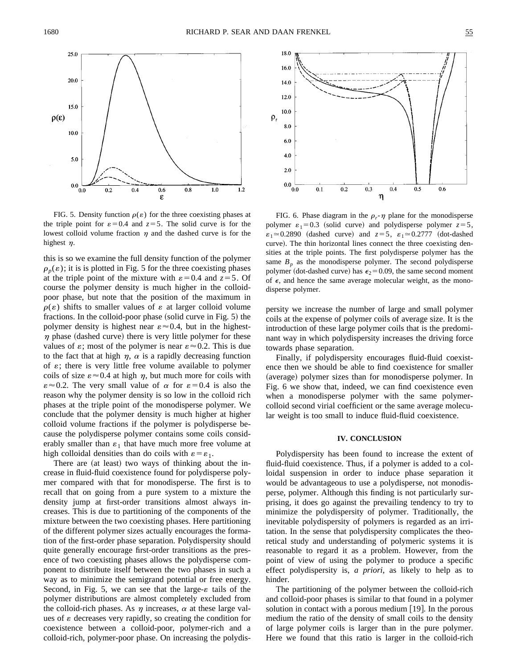

FIG. 5. Density function  $\rho(\varepsilon)$  for the three coexisting phases at the triple point for  $\varepsilon = 0.4$  and  $z = 5$ . The solid curve is for the lowest colloid volume fraction  $\eta$  and the dashed curve is for the highest  $n$ .

this is so we examine the full density function of the polymer  $\rho_p(\varepsilon)$ ; it is is plotted in Fig. 5 for the three coexisting phases at the triple point of the mixture with  $\varepsilon = 0.4$  and  $z = 5$ . Of course the polymer density is much higher in the colloidpoor phase, but note that the position of the maximum in  $\rho(\varepsilon)$  shifts to smaller values of  $\varepsilon$  at larger colloid volume fractions. In the colloid-poor phase (solid curve in Fig.  $5$ ) the polymer density is highest near  $\varepsilon \approx 0.4$ , but in the highest- $\eta$  phase (dashed curve) there is very little polymer for these values of  $\varepsilon$ ; most of the polymer is near  $\varepsilon \approx 0.2$ . This is due to the fact that at high  $\eta$ ,  $\alpha$  is a rapidly decreasing function of  $\varepsilon$ ; there is very little free volume available to polymer coils of size  $\varepsilon \approx 0.4$  at high  $\eta$ , but much more for coils with  $\varepsilon \approx 0.2$ . The very small value of  $\alpha$  for  $\varepsilon = 0.4$  is also the reason why the polymer density is so low in the colloid rich phases at the triple point of the monodisperse polymer. We conclude that the polymer density is much higher at higher colloid volume fractions if the polymer is polydisperse because the polydisperse polymer contains some coils considerably smaller than  $\varepsilon_1$  that have much more free volume at high colloidal densities than do coils with  $\varepsilon = \varepsilon_1$ .

There are (at least) two ways of thinking about the increase in fluid-fluid coexistence found for polydisperse polymer compared with that for monodisperse. The first is to recall that on going from a pure system to a mixture the density jump at first-order transitions almost always increases. This is due to partitioning of the components of the mixture between the two coexisting phases. Here partitioning of the different polymer sizes actually encourages the formation of the first-order phase separation. Polydispersity should quite generally encourage first-order transitions as the presence of two coexisting phases allows the polydisperse component to distribute itself between the two phases in such a way as to minimize the semigrand potential or free energy. Second, in Fig. 5, we can see that the large- $\varepsilon$  tails of the polymer distributions are almost completely excluded from the colloid-rich phases. As  $\eta$  increases,  $\alpha$  at these large values of  $\varepsilon$  decreases very rapidly, so creating the condition for coexistence between a colloid-poor, polymer-rich and a colloid-rich, polymer-poor phase. On increasing the polydis-



FIG. 6. Phase diagram in the  $\rho_r$ - $\eta$  plane for the monodisperse polymer  $\varepsilon_1 = 0.3$  (solid curve) and polydisperse polymer  $z = 5$ ,  $\varepsilon_1 \approx 0.2890$  (dashed curve) and  $z=5$ ,  $\varepsilon_1 \approx 0.2777$  (dot-dashed curve). The thin horizontal lines connect the three coexisting densities at the triple points. The first polydisperse polymer has the same  $B_p$  as the monodisperse polymer. The second polydisperse polymer (dot-dashed curve) has  $\epsilon_2$  = 0.09, the same second moment of  $\epsilon$ , and hence the same average molecular weight, as the monodisperse polymer.

persity we increase the number of large and small polymer coils at the expense of polymer coils of average size. It is the introduction of these large polymer coils that is the predominant way in which polydispersity increases the driving force towards phase separation.

Finally, if polydispersity encourages fluid-fluid coexistence then we should be able to find coexistence for smaller (average) polymer sizes than for monodisperse polymer. In Fig. 6 we show that, indeed, we can find coexistence even when a monodisperse polymer with the same polymercolloid second virial coefficient or the same average molecular weight is too small to induce fluid-fluid coexistence.

#### **IV. CONCLUSION**

Polydispersity has been found to increase the extent of fluid-fluid coexistence. Thus, if a polymer is added to a colloidal suspension in order to induce phase separation it would be advantageous to use a polydisperse, not monodisperse, polymer. Although this finding is not particularly surprising, it does go against the prevailing tendency to try to minimize the polydispersity of polymer. Traditionally, the inevitable polydispersity of polymers is regarded as an irritation. In the sense that polydispersity complicates the theoretical study and understanding of polymeric systems it is reasonable to regard it as a problem. However, from the point of view of using the polymer to produce a specific effect polydispersity is, *a priori*, as likely to help as to hinder.

The partitioning of the polymer between the colloid-rich and colloid-poor phases is similar to that found in a polymer solution in contact with a porous medium  $|19|$ . In the porous medium the ratio of the density of small coils to the density of large polymer coils is larger than in the pure polymer. Here we found that this ratio is larger in the colloid-rich